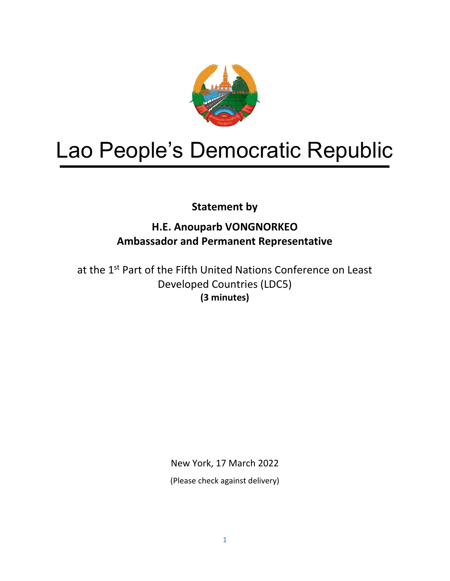

# Lao People's Democratic Republic

**Statement by**

# **H.E. Anouparb VONGNORKEO Ambassador and Permanent Representative**

at the 1<sup>st</sup> Part of the Fifth United Nations Conference on Least Developed Countries (LDC5) **(3 minutes)**

New York, 17 March 2022

(Please check against delivery)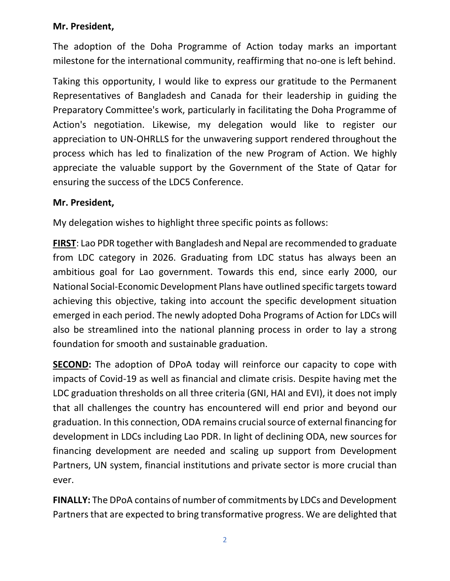### **Mr. President,**

The adoption of the Doha Programme of Action today marks an important milestone for the international community, reaffirming that no-one is left behind.

Taking this opportunity, I would like to express our gratitude to the Permanent Representatives of Bangladesh and Canada for their leadership in guiding the Preparatory Committee's work, particularly in facilitating the Doha Programme of Action's negotiation. Likewise, my delegation would like to register our appreciation to UN-OHRLLS for the unwavering support rendered throughout the process which has led to finalization of the new Program of Action. We highly appreciate the valuable support by the Government of the State of Qatar for ensuring the success of the LDC5 Conference.

#### **Mr. President,**

My delegation wishes to highlight three specific points as follows:

**FIRST**: Lao PDR together with Bangladesh and Nepal are recommended to graduate from LDC category in 2026. Graduating from LDC status has always been an ambitious goal for Lao government. Towards this end, since early 2000, our National Social-Economic Development Plans have outlined specific targets toward achieving this objective, taking into account the specific development situation emerged in each period. The newly adopted Doha Programs of Action for LDCs will also be streamlined into the national planning process in order to lay a strong foundation for smooth and sustainable graduation.

**SECOND:** The adoption of DPoA today will reinforce our capacity to cope with impacts of Covid-19 as well as financial and climate crisis. Despite having met the LDC graduation thresholds on all three criteria (GNI, HAI and EVI), it does not imply that all challenges the country has encountered will end prior and beyond our graduation. In this connection, ODA remains crucial source of external financing for development in LDCs including Lao PDR. In light of declining ODA, new sources for financing development are needed and scaling up support from Development Partners, UN system, financial institutions and private sector is more crucial than ever.

**FINALLY:** The DPoA contains of number of commitments by LDCs and Development Partners that are expected to bring transformative progress. We are delighted that